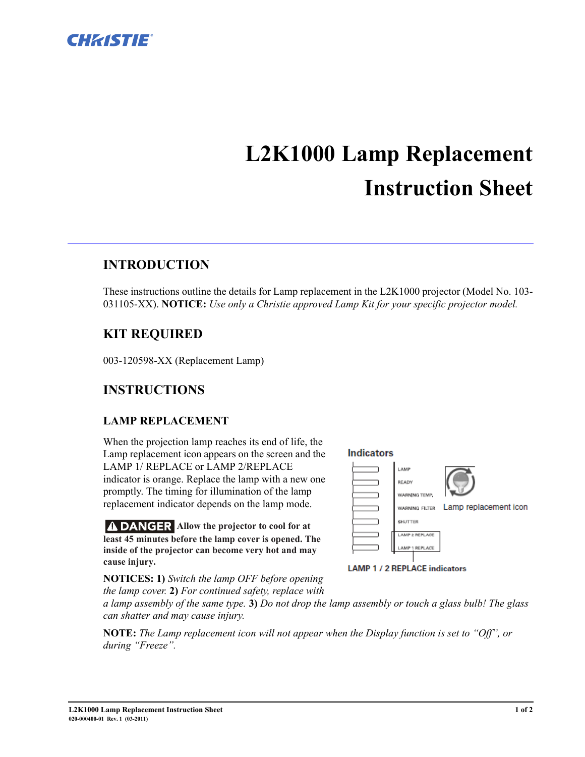

# **L2K1000 Lamp Replacement Instruction Sheet**

### **INTRODUCTION**

These instructions outline the details for Lamp replacement in the L2K1000 projector (Model No. 103- 031105-XX). **NOTICE:** *Use only a Christie approved Lamp Kit for your specific projector model.*

#### **KIT REQUIRED**

003-120598-XX (Replacement Lamp)

#### **INSTRUCTIONS**

#### **LAMP REPLACEMENT**

When the projection lamp reaches its end of life, the Lamp replacement icon appears on the screen and the LAMP 1/ REPLACE or LAMP 2/REPLACE indicator is orange. Replace the lamp with a new one promptly. The timing for illumination of the lamp replacement indicator depends on the lamp mode.

**A DANGER** Allow the projector to cool for at **least 45 minutes before the lamp cover is opened. The inside of the projector can become very hot and may cause injury.**

**Indicators** LAMP READY WARNING TEMP





**NOTICES: 1)** *Switch the lamp OFF before opening the lamp cover.* **2)** *For continued safety, replace with* 

*a lamp assembly of the same type.* **3)** *Do not drop the lamp assembly or touch a glass bulb! The glass can shatter and may cause injury.* 

**NOTE:** *The Lamp replacement icon will not appear when the Display function is set to "Off", or during "Freeze".*